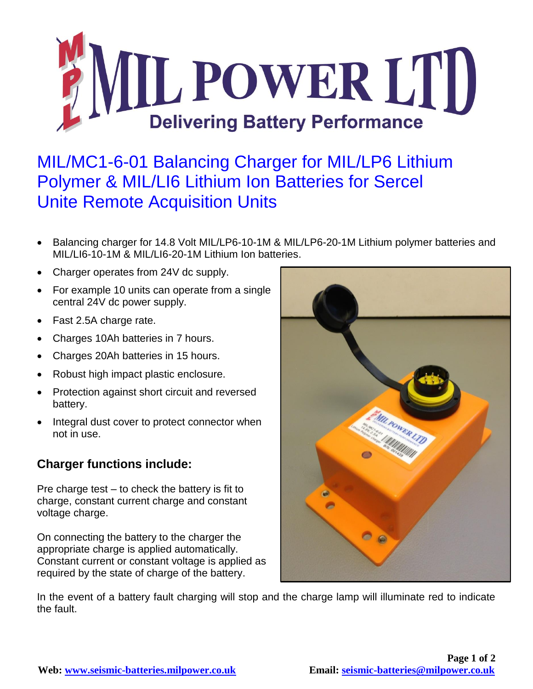

## MIL/MC1-6-01 Balancing Charger for MIL/LP6 Lithium Polymer & MIL/LI6 Lithium Ion Batteries for Sercel Unite Remote Acquisition Units

- Balancing charger for 14.8 Volt MIL/LP6-10-1M & MIL/LP6-20-1M Lithium polymer batteries and MIL/LI6-10-1M & MIL/LI6-20-1M Lithium Ion batteries.
- Charger operates from 24V dc supply.
- For example 10 units can operate from a single central 24V dc power supply.
- Fast 2.5A charge rate.
- Charges 10Ah batteries in 7 hours.
- Charges 20Ah batteries in 15 hours.
- Robust high impact plastic enclosure.
- Protection against short circuit and reversed battery.
- Integral dust cover to protect connector when not in use.

## **Charger functions include:**

Pre charge test – to check the battery is fit to charge, constant current charge and constant voltage charge.

On connecting the battery to the charger the appropriate charge is applied automatically. Constant current or constant voltage is applied as required by the state of charge of the battery.



In the event of a battery fault charging will stop and the charge lamp will illuminate red to indicate the fault.